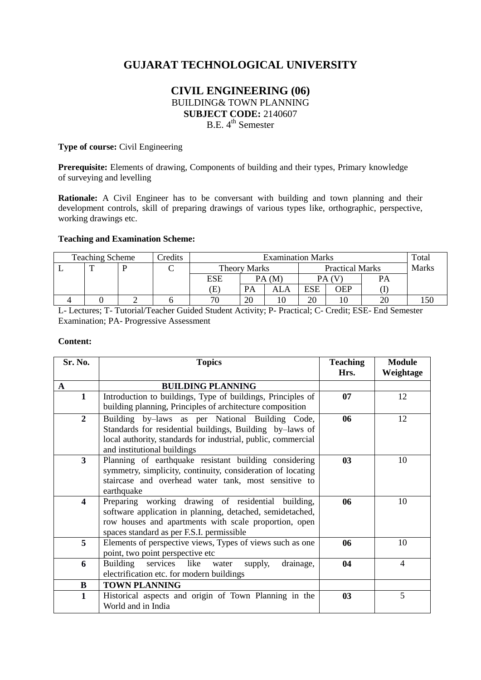# **GUJARAT TECHNOLOGICAL UNIVERSITY**

## **CIVIL ENGINEERING (06)** BUILDING& TOWN PLANNING **SUBJECT CODE:** 2140607 B.E. 4<sup>th</sup> Semester

#### **Type of course:** Civil Engineering

Prerequisite: Elements of drawing, Components of building and their types, Primary knowledge of surveying and levelling

**Rationale:** A Civil Engineer has to be conversant with building and town planning and their development controls, skill of preparing drawings of various types like, orthographic, perspective, working drawings etc.

## **Teaching and Examination Scheme:**

| <b>Teaching Scheme</b> |  | Credits | <b>Examination Marks</b> |                     |    |                        |            | Total        |           |  |
|------------------------|--|---------|--------------------------|---------------------|----|------------------------|------------|--------------|-----------|--|
|                        |  |         |                          | <b>Theory Marks</b> |    | <b>Practical Marks</b> |            | <b>Marks</b> |           |  |
|                        |  |         |                          | ESE                 |    | PA(M)                  |            |              | <b>PA</b> |  |
|                        |  |         |                          | Œ                   | PA | ALA                    | <b>ESE</b> | OEP          |           |  |
|                        |  |         |                          | 70                  | 20 |                        | 20         |              | $\sim$    |  |

L- Lectures; T- Tutorial/Teacher Guided Student Activity; P- Practical; C- Credit; ESE- End Semester Examination; PA- Progressive Assessment

#### **Content:**

| Sr. No.                 | <b>Topics</b>                                                                                                                                                                                                         | <b>Teaching</b><br>Hrs. | <b>Module</b><br>Weightage |
|-------------------------|-----------------------------------------------------------------------------------------------------------------------------------------------------------------------------------------------------------------------|-------------------------|----------------------------|
| $\mathbf{A}$            | <b>BUILDING PLANNING</b>                                                                                                                                                                                              |                         |                            |
| $\mathbf{1}$            | Introduction to buildings, Type of buildings, Principles of<br>building planning, Principles of architecture composition                                                                                              | 07                      | 12                         |
| $\overline{2}$          | Building by-laws as per National Building Code,<br>Standards for residential buildings, Building by-laws of<br>local authority, standards for industrial, public, commercial<br>and institutional buildings           | 06                      | 12                         |
| $\overline{\mathbf{3}}$ | Planning of earthquake resistant building considering<br>symmetry, simplicity, continuity, consideration of locating<br>staircase and overhead water tank, most sensitive to<br>earthquake                            | 03                      | 10                         |
| $\overline{\mathbf{4}}$ | Preparing working drawing of residential building,<br>software application in planning, detached, semidetached,<br>row houses and apartments with scale proportion, open<br>spaces standard as per F.S.I. permissible | 06                      | 10                         |
| 5                       | Elements of perspective views, Types of views such as one<br>point, two point perspective etc                                                                                                                         | 06                      | 10                         |
| 6                       | Building<br>services like<br>drainage,<br>water<br>supply,<br>electrification etc. for modern buildings                                                                                                               | 04                      | $\overline{4}$             |
| B                       | <b>TOWN PLANNING</b>                                                                                                                                                                                                  |                         |                            |
| $\mathbf{1}$            | Historical aspects and origin of Town Planning in the<br>World and in India                                                                                                                                           | 03                      | 5                          |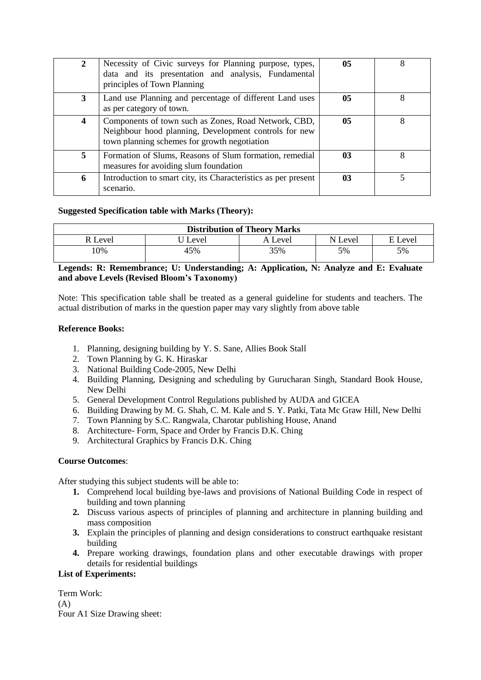|   | Necessity of Civic surveys for Planning purpose, types,<br>data and its presentation and analysis, Fundamental<br>principles of Town Planning                 | 0 <sub>5</sub> |   |
|---|---------------------------------------------------------------------------------------------------------------------------------------------------------------|----------------|---|
| 3 | Land use Planning and percentage of different Land uses<br>as per category of town.                                                                           | 05             | 8 |
| 4 | Components of town such as Zones, Road Network, CBD,<br>Neighbour hood planning, Development controls for new<br>town planning schemes for growth negotiation | 0 <sub>5</sub> |   |
| 5 | Formation of Slums, Reasons of Slum formation, remedial<br>measures for avoiding slum foundation                                                              | 03             | 8 |
| 6 | Introduction to smart city, its Characteristics as per present<br>scenario.                                                                                   | 03             |   |

## **Suggested Specification table with Marks (Theory):**

| <b>Distribution of Theory Marks</b> |       |         |         |         |  |  |
|-------------------------------------|-------|---------|---------|---------|--|--|
| R Level                             | Level | A Level | N Level | E Level |  |  |
| 10%                                 | 45%   | 35%     | 5%      | 5%      |  |  |

## **Legends: R: Remembrance; U: Understanding; A: Application, N: Analyze and E: Evaluate and above Levels (Revised Bloom's Taxonomy)**

Note: This specification table shall be treated as a general guideline for students and teachers. The actual distribution of marks in the question paper may vary slightly from above table

#### **Reference Books:**

- 1. Planning, designing building by Y. S. Sane, Allies Book Stall
- 2. Town Planning by G. K. Hiraskar
- 3. National Building Code-2005, New Delhi
- 4. Building Planning, Designing and scheduling by Gurucharan Singh, Standard Book House, New Delhi
- 5. General Development Control Regulations published by AUDA and GICEA
- 6. Building Drawing by M. G. Shah, C. M. Kale and S. Y. Patki, Tata Mc Graw Hill, New Delhi
- 7. Town Planning by S.C. Rangwala, Charotar publishing House, Anand
- 8. Architecture- Form, Space and Order by Francis D.K. Ching
- 9. Architectural Graphics by Francis D.K. Ching

## **Course Outcomes**:

After studying this subject students will be able to:

- **1.** Comprehend local building bye-laws and provisions of National Building Code in respect of building and town planning
- **2.** Discuss various aspects of principles of planning and architecture in planning building and mass composition
- **3.** Explain the principles of planning and design considerations to construct earthquake resistant building
- **4.** Prepare working drawings, foundation plans and other executable drawings with proper details for residential buildings

#### **List of Experiments:**

Term Work:  $(A)$ Four A1 Size Drawing sheet: